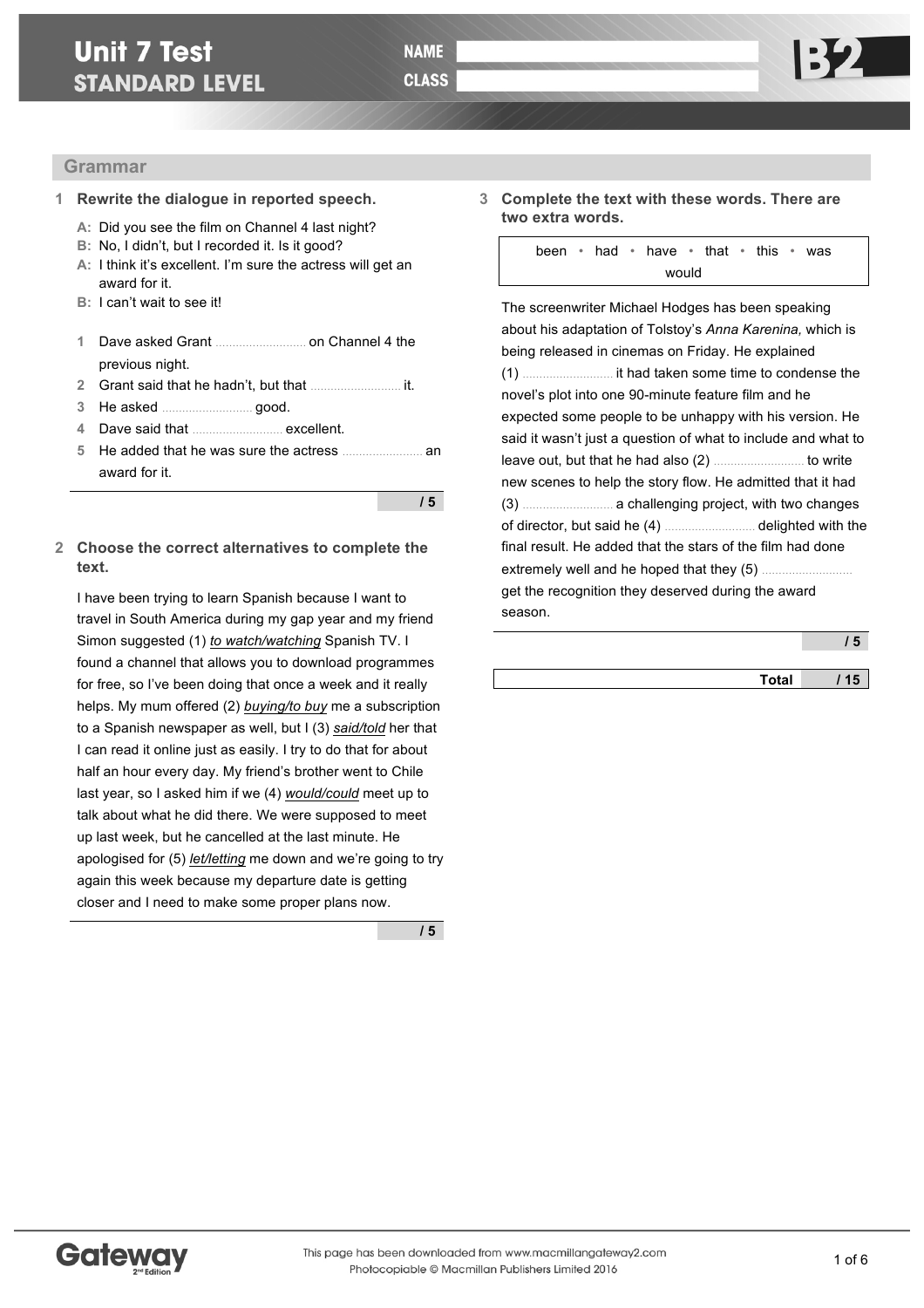# **Unit 7 Test STANDARD LEVEL**

**/ 5**

# **Grammar**

- **1 Rewrite the dialogue in reported speech.**
	- **A:** Did you see the film on Channel 4 last night?
	- **B:** No, I didn't, but I recorded it. Is it good?
	- **A:** I think it's excellent. I'm sure the actress will get an award for it.
	- **B:** I can't wait to see it!
	- **1** Dave asked Grant ……………………… on Channel 4 the previous night.
	- **2** Grant said that he hadn't, but that ……………………… it.
	- **3** He asked ……………………… good.
	- **4** Dave said that ……………………… excellent.
	- **5** He added that he was sure the actress …………………… an award for it.

### **2 Choose the correct alternatives to complete the text.**

I have been trying to learn Spanish because I want to travel in South America during my gap year and my friend Simon suggested (1) *to watch/watching* Spanish TV. I found a channel that allows you to download programmes for free, so I've been doing that once a week and it really helps. My mum offered (2) *buying/to buy* me a subscription to a Spanish newspaper as well, but I (3) *said/told* her that I can read it online just as easily. I try to do that for about half an hour every day. My friend's brother went to Chile last year, so I asked him if we (4) *would/could* meet up to talk about what he did there. We were supposed to meet up last week, but he cancelled at the last minute. He apologised for (5) *let/letting* me down and we're going to try again this week because my departure date is getting closer and I need to make some proper plans now.

**/ 5**

**3 Complete the text with these words. There are two extra words.**

> been • had • have • that • this • was would

The screenwriter Michael Hodges has been speaking about his adaptation of Tolstoy's *Anna Karenina,* which is being released in cinemas on Friday. He explained (1) ……………………… it had taken some time to condense the novel's plot into one 90-minute feature film and he expected some people to be unhappy with his version. He said it wasn't just a question of what to include and what to leave out, but that he had also (2) ……………………… to write new scenes to help the story flow. He admitted that it had (3) ……………………… a challenging project, with two changes of director, but said he (4) ……………………… delighted with the final result. He added that the stars of the film had done extremely well and he hoped that they (5) ……………………… get the recognition they deserved during the award season.

|              | э   |
|--------------|-----|
| <b>Total</b> | 115 |

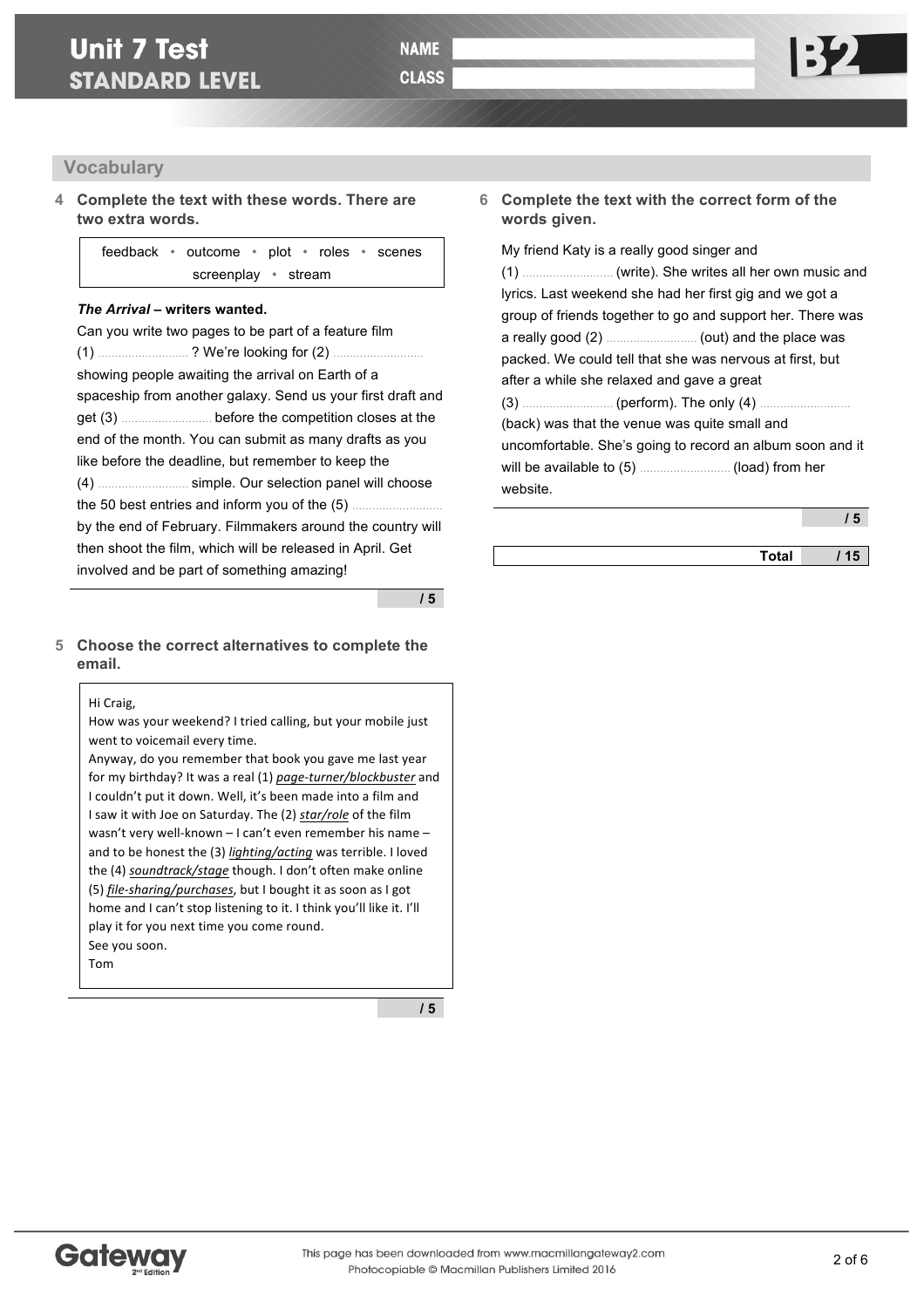#### **Vocabulary**

**4 Complete the text with these words. There are two extra words.**

> feedback • outcome • plot • roles • scenes screenplay • stream

#### *The Arrival* **– writers wanted.**

Can you write two pages to be part of a feature film (1) ……………………… ? We're looking for (2) ……………………… showing people awaiting the arrival on Earth of a spaceship from another galaxy. Send us your first draft and get (3) ……………………… before the competition closes at the end of the month. You can submit as many drafts as you like before the deadline, but remember to keep the (4) ……………………… simple. Our selection panel will choose the 50 best entries and inform you of the  $(5)$  ....... by the end of February. Filmmakers around the country will then shoot the film, which will be released in April. Get involved and be part of something amazing!

#### **/ 5**

#### **5 Choose the correct alternatives to complete the email.**

#### Hi Craig

Tom

How was your weekend? I tried calling, but your mobile just went to voicemail every time.

Anyway, do you remember that book you gave me last year for my birthday? It was a real (1) page-turner/blockbuster and I couldn't put it down. Well, it's been made into a film and I saw it with Joe on Saturday. The (2) star/role of the film wasn't very well-known  $-1$  can't even remember his name  $$ and to be honest the (3) *lighting/acting* was terrible. I loved the (4) *soundtrack/stage* though. I don't often make online (5) *file-sharing/purchases*, but I bought it as soon as I got home and I can't stop listening to it. I think you'll like it. I'll play it for you next time you come round. See vou soon.

**/ 5**

#### **6 Complete the text with the correct form of the words given.**

My friend Katy is a really good singer and (1) ……………………… (write). She writes all her own music and lyrics. Last weekend she had her first gig and we got a group of friends together to go and support her. There was a really good (2) ……………………… (out) and the place was packed. We could tell that she was nervous at first, but after a while she relaxed and gave a great (3) ……………………… (perform). The only (4) ……………………… (back) was that the venue was quite small and uncomfortable. She's going to record an album soon and it will be available to (5) ……………………… (load) from her website.

**/ 5**

**Total / 15**

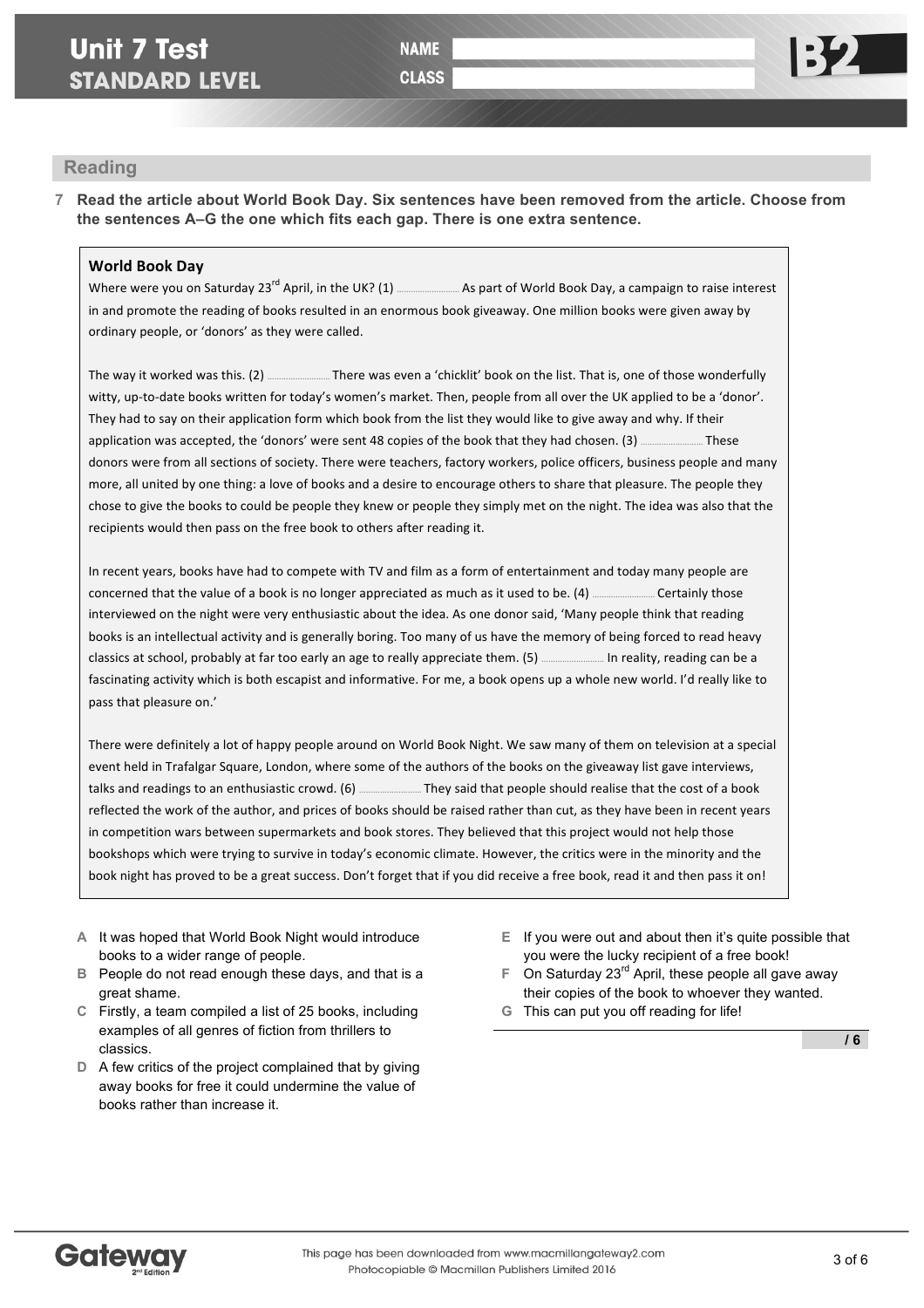**CLASS** 

# **Reading**

**7 Read the article about World Book Day. Six sentences have been removed from the article. Choose from the sentences A–G the one which fits each gap. There is one extra sentence.**

# **World Book Day**

Where were vou on Saturday 23<sup>rd</sup> April, in the UK? (1) ………………………As part of World Book Day, a campaign to raise interest in and promote the reading of books resulted in an enormous book giveaway. One million books were given away by ordinary people, or 'donors' as they were called.

The way it worked was this. (2) ………………………… There was even a 'chicklit' book on the list. That is, one of those wonderfully witty, up-to-date books written for today's women's market. Then, people from all over the UK applied to be a 'donor'. They had to say on their application form which book from the list they would like to give away and why. If their application was accepted, the 'donors' were sent 48 copies of the book that they had chosen. (3) ………………………… These donors were from all sections of society. There were teachers, factory workers, police officers, business people and many more, all united by one thing: a love of books and a desire to encourage others to share that pleasure. The people they chose to give the books to could be people they knew or people they simply met on the night. The idea was also that the recipients would then pass on the free book to others after reading it.

In recent vears, books have had to compete with TV and film as a form of entertainment and today many people are concerned that the value of a book is no longer appreciated as much as it used to be. (4) ……………………… Certainly those interviewed on the night were very enthusiastic about the idea. As one donor said, 'Many people think that reading books is an intellectual activity and is generally boring. Too many of us have the memory of being forced to read heavy classics at school, probably at far too early an age to really appreciate them. (5) .......................... In reality, reading can be a fascinating activity which is both escapist and informative. For me, a book opens up a whole new world. I'd really like to pass that pleasure on.'

There were definitely a lot of happy people around on World Book Night. We saw many of them on television at a special event held in Trafalgar Square, London, where some of the authors of the books on the giveaway list gave interviews, talks and readings to an enthusiastic crowd. (6) ……………………… They said that people should realise that the cost of a book reflected the work of the author, and prices of books should be raised rather than cut, as they have been in recent years in competition wars between supermarkets and book stores. They believed that this project would not help those bookshops which were trying to survive in today's economic climate. However, the critics were in the minority and the book night has proved to be a great success. Don't forget that if you did receive a free book, read it and then pass it on!

- **A** It was hoped that World Book Night would introduce books to a wider range of people.
- **B** People do not read enough these days, and that is a great shame.
- **C** Firstly, a team compiled a list of 25 books, including examples of all genres of fiction from thrillers to classics.
- **D** A few critics of the project complained that by giving away books for free it could undermine the value of books rather than increase it.
- **E** If you were out and about then it's quite possible that you were the lucky recipient of a free book!
- **F** On Saturday 23rd April, these people all gave away their copies of the book to whoever they wanted.
- **G** This can put you off reading for life!

**/ 6**

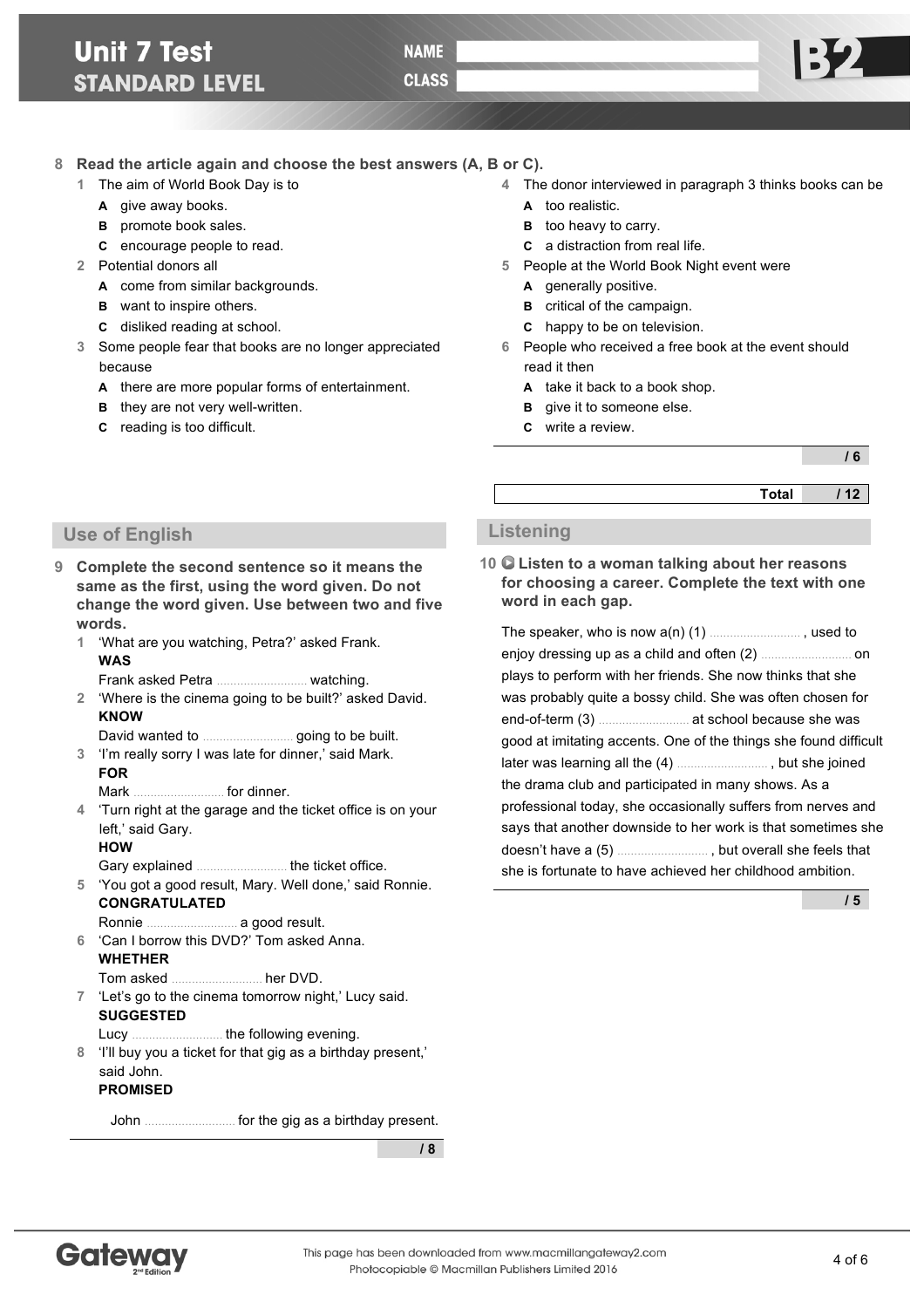# **Unit 7 Test STANDARD LEVEL**

**NAME** 

**CLASS** 

## **8 Read the article again and choose the best answers (A, B or C).**

- **1** The aim of World Book Day is to
	- **A** give away books.
	- **B** promote book sales.
	- **C** encourage people to read.
- **2** Potential donors all
	- **A** come from similar backgrounds.
	- **B** want to inspire others.
	- **C** disliked reading at school.
- **3** Some people fear that books are no longer appreciated because
	- **A** there are more popular forms of entertainment.
	- **B** they are not very well-written.
	- **C** reading is too difficult.

### **4** The donor interviewed in paragraph 3 thinks books can be

- **A** too realistic.
- **B** too heavy to carry.
- **C** a distraction from real life.
- **5** People at the World Book Night event were
	- **A** generally positive.
	- **B** critical of the campaign.
	- **C** happy to be on television.
- **6** People who received a free book at the event should read it then

**10 Listen to a woman talking about her reasons for choosing a career. Complete the text with one** 

The speaker, who is now a(n) (1) ……………………… , used to enjoy dressing up as a child and often (2) ……………………… on plays to perform with her friends. She now thinks that she was probably quite a bossy child. She was often chosen for end-of-term (3) ……………………… at school because she was good at imitating accents. One of the things she found difficult later was learning all the (4) ……………………… , but she joined the drama club and participated in many shows. As a

professional today, she occasionally suffers from nerves and says that another downside to her work is that sometimes she doesn't have a (5) ……………………… , but overall she feels that she is fortunate to have achieved her childhood ambition.

- **A** take it back to a book shop.
- **B** give it to someone else.
- **C** write a review.

**word in each gap.**

**Listening** 

#### **/ 6**

**Total / 12**

# **Use of English**

**9 Complete the second sentence so it means the same as the first, using the word given. Do not change the word given. Use between two and five words.**

**1** 'What are you watching, Petra?' asked Frank. **WAS**

Frank asked Petra ……………………… watching.

**2** 'Where is the cinema going to be built?' asked David. **KNOW**

David wanted to ……………………… going to be built.

**3** 'I'm really sorry I was late for dinner,' said Mark. **FOR**

Mark ……………………… for dinner.

**4** 'Turn right at the garage and the ticket office is on your left,' said Gary.

#### **HOW**

Gary explained ……………………… the ticket office.

- **5** 'You got a good result, Mary. Well done,' said Ronnie. **CONGRATULATED**
	- Ronnie ……………………… a good result.
- **6** 'Can I borrow this DVD?' Tom asked Anna. **WHETHER**

Tom asked ……………………… her DVD.

- **7** 'Let's go to the cinema tomorrow night,' Lucy said. **SUGGESTED**
- Lucy ……………………… the following evening.
- **8** 'I'll buy you a ticket for that gig as a birthday present,' said John.

### **PROMISED**

John ……………………… for the gig as a birthday present.

**/ 8**



**/ 5**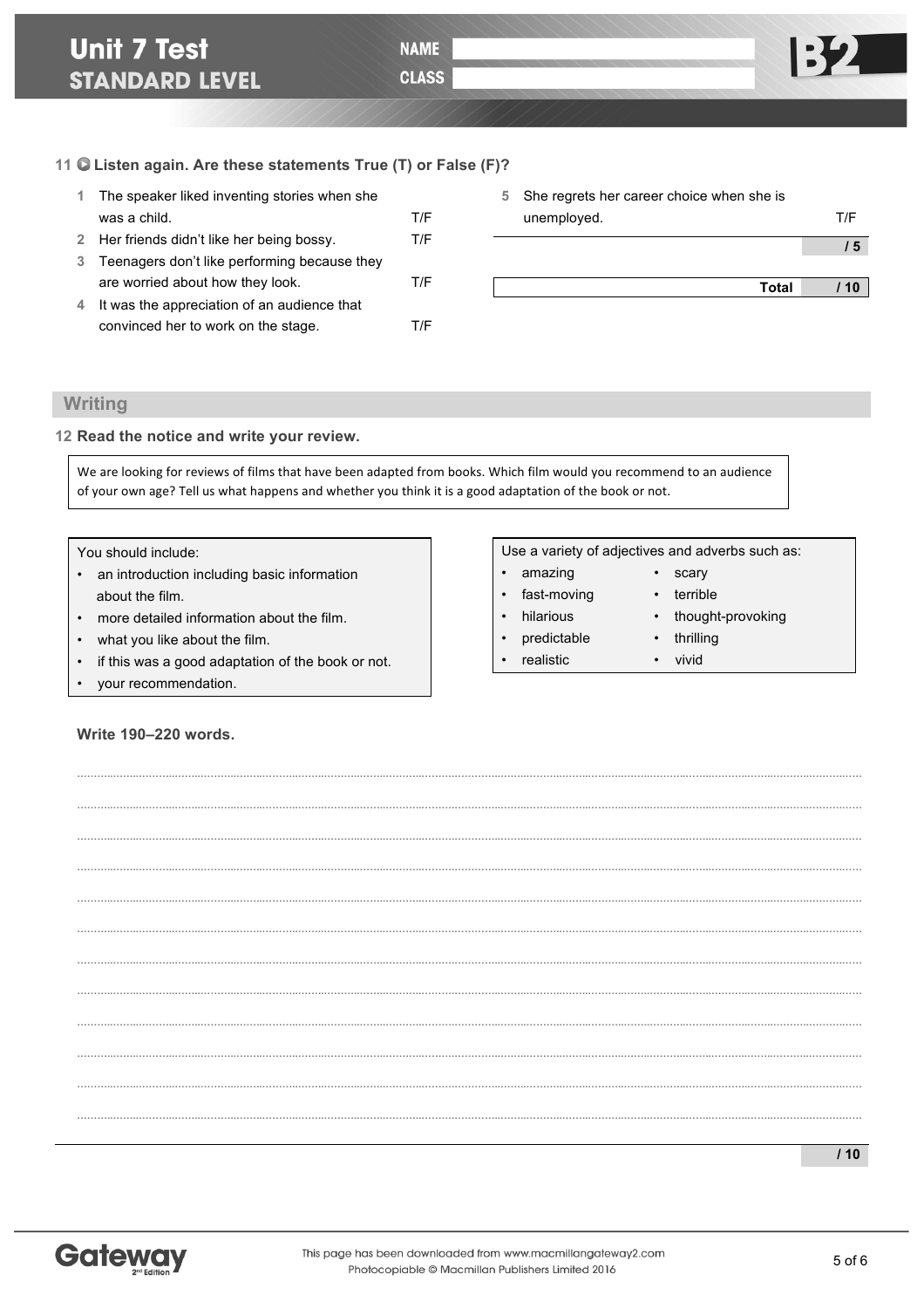# **Unit 7 Test STANDARD LEVEL**

**NAME** 

**CLASS** 

## **11 Listen again. Are these statements True (T) or False (F)?**

| $\mathbf{1}$ | The speaker liked inventing stories when she |     |
|--------------|----------------------------------------------|-----|
|              | was a child.                                 | T/F |
|              | 2 Her friends didn't like her being bossy.   | T/F |
| 3            | Teenagers don't like performing because they |     |
|              | are worried about how they look.             | T/F |
| 4            | It was the appreciation of an audience that  |     |
|              | convinced her to work on the stage.          |     |

| 5 She regrets her career choice when she is<br>unemployed. | T/F |
|------------------------------------------------------------|-----|
|                                                            |     |
|                                                            |     |
| Total                                                      | 10  |
|                                                            |     |

# **Writing**

**12 Read the notice and write your review.**

We are looking for reviews of films that have been adapted from books. Which film would you recommend to an audience of your own age? Tell us what happens and whether you think it is a good adaptation of the book or not.

**………..……..………..……..………..……..………..……..………..……..………..……….…………..……..………..……..………..……..………..……..………..……..………..……….…… ………..……..………..……..………..……..………..……..………..……..………..……….…………..……..………..……..………..……..………..……..………..……..………..……….……**

**………..……..………..……..………..……..………..……..………..……..………..……….…………..……..………..……..………..……..………..……..………..……..………..……….…… ………..……..………..……..………..……..………..……..………..……..………..……….…………..……..………..……..………..……..………..……..………..……..………..……….…… ………..……..………..……..………..……..………..……..………..……..………..……….…………..……..………..……..………..……..………..……..………..……..………..……….……**

**………..……..………..……..………..……..………..……..………..……..………..……….…………..……..………..……..………..……..………..……..………..……..………..……….…… ………..……..………..……..………..……..………..……..………..……..………..……….…………..……..………..……..………..……..………..……..………..……..………..……….…… ………..……..………..……..………..……..………..……..………..……..………..……….…………..……..………..……..………..……..………..……..………..……..………..……….……**

**………..……..………..……..………..……..………..……..………..……..………..……….…………..……..………..……..………..……..………..……..………..……..………..……….…… ………..……..………..……..………..……..………..……..………..……..………..……….…………..……..………..……..………..……..………..……..………..……..………..……….…… ………..……..………..……..………..……..………..……..………..……..………..……….…………..……..………..……..………..……..………..……..………..……..………..……….……**

**………..……..………..……..………..……..………..……..………..……..………..……….…………..……..………..……..………..……..………..……..………..……..………..……….……**

You should include:

- an introduction including basic information about the film.
- more detailed information about the film.
- what you like about the film.
- if this was a good adaptation of the book or not.
- your recommendation.

**Write 190–220 words.**

- amazing scary
- fast-moving terrible
- hilarious thought-provoking
- predictable thrilling
- realistic vivid
- 
- -

**/ 10**